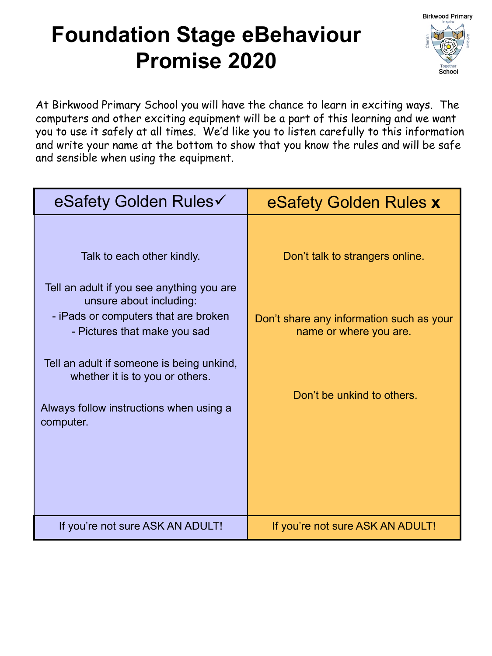## **Foundation Stage eBehaviour Promise 2020**



At Birkwood Primary School you will have the chance to learn in exciting ways. The computers and other exciting equipment will be a part of this learning and we want you to use it safely at all times. We'd like you to listen carefully to this information and write your name at the bottom to show that you know the rules and will be safe and sensible when using the equipment.

| eSafety Golden Rules√                                                                              | eSafety Golden Rules x                                             |
|----------------------------------------------------------------------------------------------------|--------------------------------------------------------------------|
| Talk to each other kindly.<br>Tell an adult if you see anything you are<br>unsure about including: | Don't talk to strangers online.                                    |
| - iPads or computers that are broken<br>- Pictures that make you sad                               | Don't share any information such as your<br>name or where you are. |
| Tell an adult if someone is being unkind,<br>whether it is to you or others.                       |                                                                    |
| Always follow instructions when using a<br>computer.                                               | Don't be unkind to others.                                         |
| If you're not sure ASK AN ADULT!                                                                   | If you're not sure ASK AN ADULT!                                   |